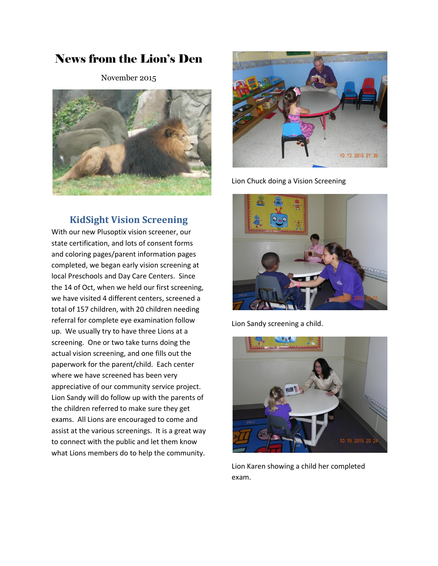# News from the Lion's Den

November 2015



## **KidSight Vision Screening**

With our new Plusoptix vision screener, our state certification, and lots of consent forms and coloring pages/parent information pages completed, we began early vision screening at local Preschools and Day Care Centers. Since the 14 of Oct, when we held our first screening, we have visited 4 different centers, screened a total of 157 children, with 20 children needing referral for complete eye examination follow up. We usually try to have three Lions at a screening. One or two take turns doing the actual vision screening, and one fills out the paperwork for the parent/child. Each center where we have screened has been very appreciative of our community service project. Lion Sandy will do follow up with the parents of the children referred to make sure they get exams. All Lions are encouraged to come and assist at the various screenings. It is a great way to connect with the public and let them know what Lions members do to help the community.



Lion Chuck doing a Vision Screening



Lion Sandy screening a child.



Lion Karen showing a child her completed exam.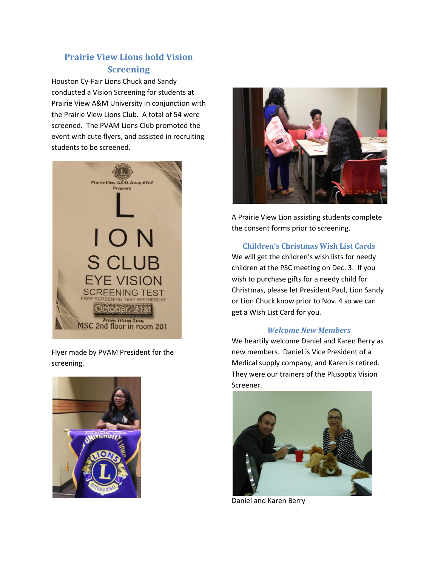# **Prairie View Lions hold Vision Screening**

Houston Cy-Fair Lions Chuck and Sandy conducted a Vision Screening for students at Prairie View A&M University in conjunction with the Prairie View Lions Club. A total of 54 were screened. The PVAM Lions Club promoted the event with cute flyers, and assisted in recruiting students to be screened.



Flyer made by PVAM President for the screening.





A Prairie View Lion assisting students complete the consent forms prior to screening.

#### **Children's Christmas Wish List Cards**

We will get the children's wish lists for needy children at the PSC meeting on Dec. 3. If you wish to purchase gifts for a needy child for Christmas, please let President Paul, Lion Sandy or Lion Chuck know prior to Nov. 4 so we can get a Wish List Card for you.

#### *Welcome New Members*

We heartily welcome Daniel and Karen Berry as new members. Daniel is Vice President of a Medical supply company, and Karen is retired. They were our trainers of the Plusoptix Vision Screener.



Daniel and Karen Berry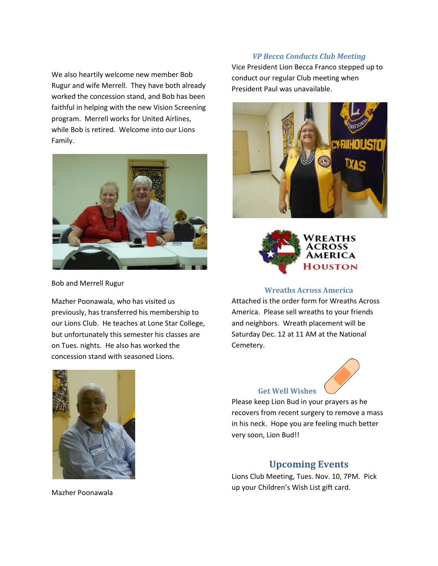We also heartily welcome new member Bob Rugur and wife Merrell. They have both already worked the concession stand, and Bob has been faithful in helping with the new Vision Screening program. Merrell works for United Airlines, while Bob is retired. Welcome into our Lions Family.



Bob and Merrell Rugur

Mazher Poonawala, who has visited us previously, has transferred his membership to our Lions Club. He teaches at Lone Star College, but unfortunately this semester his classes are on Tues. nights. He also has worked the concession stand with seasoned Lions.



Vice President Lion Becca Franco stepped up to conduct our regular Club meeting when President Paul was unavailable.





#### **Wreaths Across America**

Attached is the order form for Wreaths Across America. Please sell wreaths to your friends and neighbors. Wreath placement will be Saturday Dec. 12 at 11 AM at the National Cemetery.



**Get Well Wishes** 

Please keep Lion Bud in your prayers as he recovers from recent surgery to remove a mass in his neck. Hope you are feeling much better very soon, Lion Bud!!

### **Upcoming Events**

Lions Club Meeting, Tues. Nov. 10, 7PM. Pick up your Children's Wish List gift card.

Mazher Poonawala